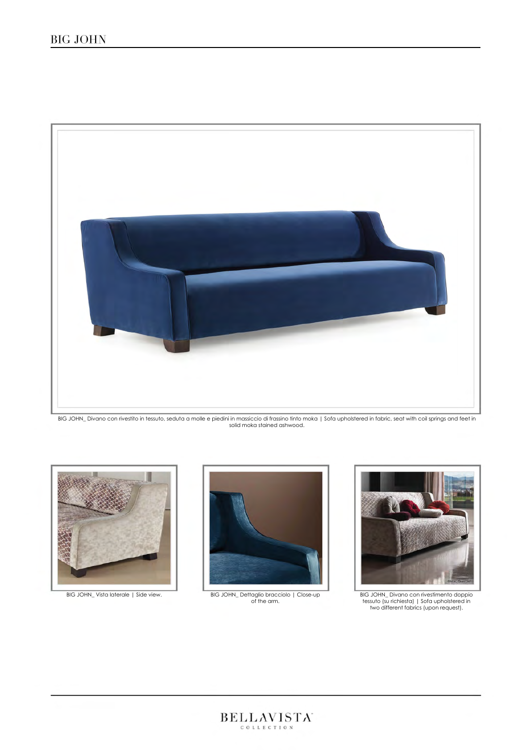

BIG JOHN\_ Divano con rivestito in tessuto, seduta a molle e piedini in massiccio di frassino tinto moka | Sofa upholstered in fabric, seat with coil springs and feet in<br>solid moka stained ashwood.





BIG JOHN\_ Vista laterale | Side view. BIG JOHN\_ Dettaglio bracciolo | Close-up of the arm.



BIG JOHN\_ Divano con rivestimento doppio tessuto (su richiesta) | Sofa upholstered in two different fabrics (upon request).

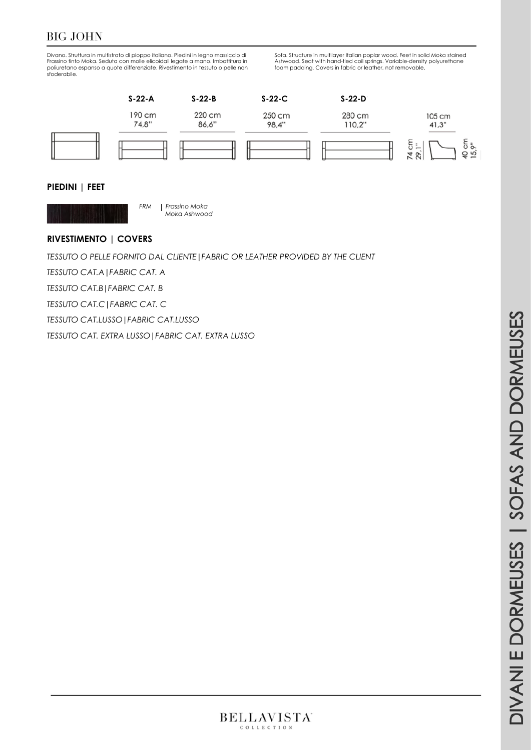# BIG JOHN

Divano. Struttura in multistrato di pioppo italiano. Piedini in legno massiccio di Frassino tinto Moka. Seduta con molle elicoidali legate a mano. Imbottitura in poliuretano espanso a quote differenziate. Rivestimento in tessuto o pelle non sfoderabile. Sofa. Structure in multilayer Italian poplar wood. Feet in solid Moka stained Ashwood. Seat with hand-tied coil springs. Variable-density polyurethane foam padding. Covers in fabric or leather, not removable.



#### **PIEDINI | FEET**



*FRM Frassino Moka Moka Ashwood*

#### **RIVESTIMENTO | COVERS**

*TESSUTO O PELLE FORNITO DAL CLIENTE***|***FABRIC OR LEATHER PROVIDED BY THE CLIENT* 

*TESSUTO CAT.A***|***FABRIC CAT. A* 

*TESSUTO CAT.B***|***FABRIC CAT. B*

*TESSUTO CAT.C***|***FABRIC CAT. C*

*TESSUTO CAT.LUSSO***|***FABRIC CAT.LUSSO*

*TESSUTO CAT. EXTRA LUSSO***|***FABRIC CAT. EXTRA LUSSO*